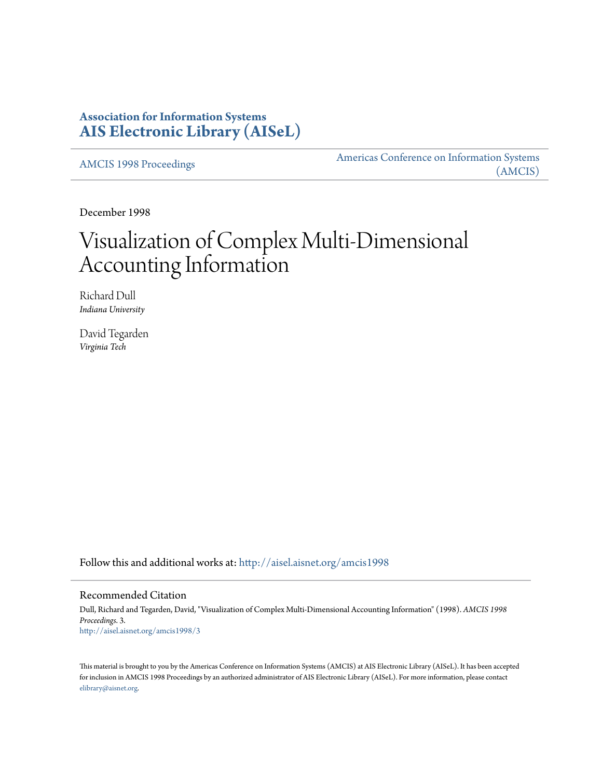# **Association for Information Systems [AIS Electronic Library \(AISeL\)](http://aisel.aisnet.org?utm_source=aisel.aisnet.org%2Famcis1998%2F3&utm_medium=PDF&utm_campaign=PDFCoverPages)**

[AMCIS 1998 Proceedings](http://aisel.aisnet.org/amcis1998?utm_source=aisel.aisnet.org%2Famcis1998%2F3&utm_medium=PDF&utm_campaign=PDFCoverPages)

[Americas Conference on Information Systems](http://aisel.aisnet.org/amcis?utm_source=aisel.aisnet.org%2Famcis1998%2F3&utm_medium=PDF&utm_campaign=PDFCoverPages) [\(AMCIS\)](http://aisel.aisnet.org/amcis?utm_source=aisel.aisnet.org%2Famcis1998%2F3&utm_medium=PDF&utm_campaign=PDFCoverPages)

December 1998

# Visualization of Complex Multi-Dimensional Accounting Information

Richard Dull *Indiana University*

David Tegarden *Virginia Tech*

Follow this and additional works at: [http://aisel.aisnet.org/amcis1998](http://aisel.aisnet.org/amcis1998?utm_source=aisel.aisnet.org%2Famcis1998%2F3&utm_medium=PDF&utm_campaign=PDFCoverPages)

## Recommended Citation

Dull, Richard and Tegarden, David, "Visualization of Complex Multi-Dimensional Accounting Information" (1998). *AMCIS 1998 Proceedings*. 3. [http://aisel.aisnet.org/amcis1998/3](http://aisel.aisnet.org/amcis1998/3?utm_source=aisel.aisnet.org%2Famcis1998%2F3&utm_medium=PDF&utm_campaign=PDFCoverPages)

This material is brought to you by the Americas Conference on Information Systems (AMCIS) at AIS Electronic Library (AISeL). It has been accepted for inclusion in AMCIS 1998 Proceedings by an authorized administrator of AIS Electronic Library (AISeL). For more information, please contact [elibrary@aisnet.org.](mailto:elibrary@aisnet.org%3E)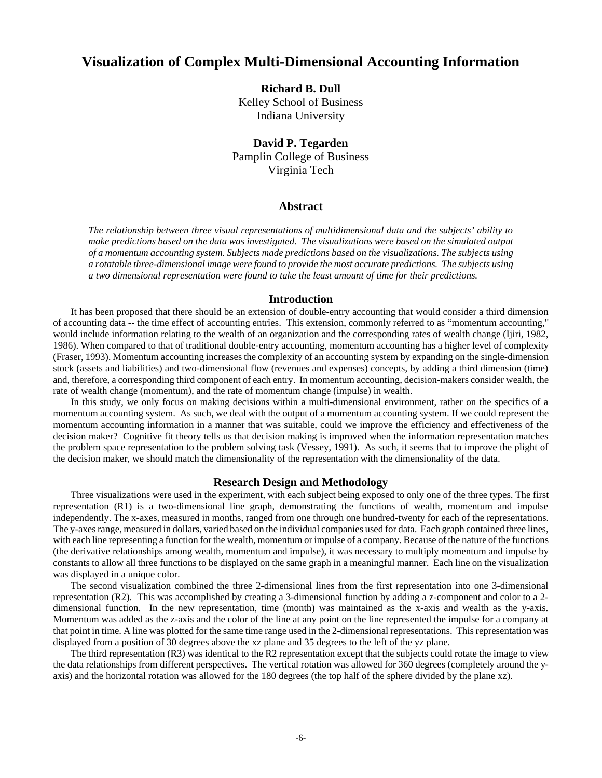## **Visualization of Complex Multi-Dimensional Accounting Information**

**Richard B. Dull** Kelley School of Business

Indiana University

**David P. Tegarden** Pamplin College of Business Virginia Tech

### **Abstract**

*The relationship between three visual representations of multidimensional data and the subjects' ability to make predictions based on the data was investigated. The visualizations were based on the simulated output of a momentum accounting system. Subjects made predictions based on the visualizations. The subjects using a rotatable three-dimensional image were found to provide the most accurate predictions. The subjects using a two dimensional representation were found to take the least amount of time for their predictions.*

#### **Introduction**

It has been proposed that there should be an extension of double-entry accounting that would consider a third dimension of accounting data -- the time effect of accounting entries. This extension, commonly referred to as "momentum accounting," would include information relating to the wealth of an organization and the corresponding rates of wealth change (Ijiri, 1982, 1986). When compared to that of traditional double-entry accounting, momentum accounting has a higher level of complexity (Fraser, 1993). Momentum accounting increases the complexity of an accounting system by expanding on the single-dimension stock (assets and liabilities) and two-dimensional flow (revenues and expenses) concepts, by adding a third dimension (time) and, therefore, a corresponding third component of each entry. In momentum accounting, decision-makers consider wealth, the rate of wealth change (momentum), and the rate of momentum change (impulse) in wealth.

In this study, we only focus on making decisions within a multi-dimensional environment, rather on the specifics of a momentum accounting system. As such, we deal with the output of a momentum accounting system. If we could represent the momentum accounting information in a manner that was suitable, could we improve the efficiency and effectiveness of the decision maker? Cognitive fit theory tells us that decision making is improved when the information representation matches the problem space representation to the problem solving task (Vessey, 1991). As such, it seems that to improve the plight of the decision maker, we should match the dimensionality of the representation with the dimensionality of the data.

#### **Research Design and Methodology**

Three visualizations were used in the experiment, with each subject being exposed to only one of the three types. The first representation (R1) is a two-dimensional line graph, demonstrating the functions of wealth, momentum and impulse independently. The x-axes, measured in months, ranged from one through one hundred-twenty for each of the representations. The y-axes range, measured in dollars, varied based on the individual companies used for data. Each graph contained three lines, with each line representing a function for the wealth, momentum or impulse of a company. Because of the nature of the functions (the derivative relationships among wealth, momentum and impulse), it was necessary to multiply momentum and impulse by constants to allow all three functions to be displayed on the same graph in a meaningful manner. Each line on the visualization was displayed in a unique color.

The second visualization combined the three 2-dimensional lines from the first representation into one 3-dimensional representation (R2). This was accomplished by creating a 3-dimensional function by adding a z-component and color to a 2 dimensional function. In the new representation, time (month) was maintained as the x-axis and wealth as the y-axis. Momentum was added as the z-axis and the color of the line at any point on the line represented the impulse for a company at that point in time. A line was plotted for the same time range used in the 2-dimensional representations. This representation was displayed from a position of 30 degrees above the xz plane and 35 degrees to the left of the yz plane.

The third representation (R3) was identical to the R2 representation except that the subjects could rotate the image to view the data relationships from different perspectives. The vertical rotation was allowed for 360 degrees (completely around the yaxis) and the horizontal rotation was allowed for the 180 degrees (the top half of the sphere divided by the plane xz).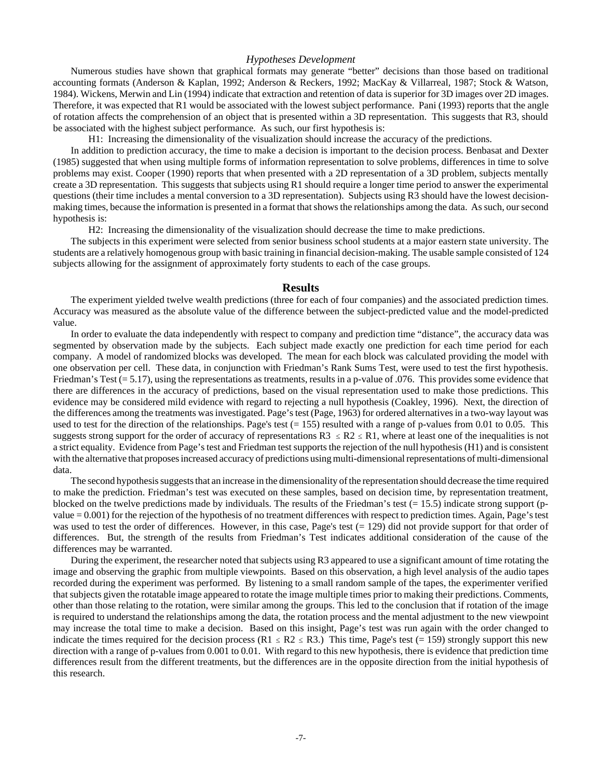#### *Hypotheses Development*

Numerous studies have shown that graphical formats may generate "better" decisions than those based on traditional accounting formats (Anderson & Kaplan, 1992; Anderson & Reckers, 1992; MacKay & Villarreal, 1987; Stock & Watson, 1984). Wickens, Merwin and Lin (1994) indicate that extraction and retention of data is superior for 3D images over 2D images. Therefore, it was expected that R1 would be associated with the lowest subject performance. Pani (1993) reports that the angle of rotation affects the comprehension of an object that is presented within a 3D representation. This suggests that R3, should be associated with the highest subject performance. As such, our first hypothesis is:

H1: Increasing the dimensionality of the visualization should increase the accuracy of the predictions.

In addition to prediction accuracy, the time to make a decision is important to the decision process. Benbasat and Dexter (1985) suggested that when using multiple forms of information representation to solve problems, differences in time to solve problems may exist. Cooper (1990) reports that when presented with a 2D representation of a 3D problem, subjects mentally create a 3D representation. This suggests that subjects using R1 should require a longer time period to answer the experimental questions (their time includes a mental conversion to a 3D representation). Subjects using R3 should have the lowest decisionmaking times, because the information is presented in a format that shows the relationships among the data. As such, our second hypothesis is:

H2: Increasing the dimensionality of the visualization should decrease the time to make predictions.

The subjects in this experiment were selected from senior business school students at a major eastern state university. The students are a relatively homogenous group with basic training in financial decision-making. The usable sample consisted of 124 subjects allowing for the assignment of approximately forty students to each of the case groups.

#### **Results**

The experiment yielded twelve wealth predictions (three for each of four companies) and the associated prediction times. Accuracy was measured as the absolute value of the difference between the subject-predicted value and the model-predicted value.

In order to evaluate the data independently with respect to company and prediction time "distance", the accuracy data was segmented by observation made by the subjects. Each subject made exactly one prediction for each time period for each company. A model of randomized blocks was developed. The mean for each block was calculated providing the model with one observation per cell. These data, in conjunction with Friedman's Rank Sums Test, were used to test the first hypothesis. Friedman's Test  $(= 5.17)$ , using the representations as treatments, results in a p-value of .076. This provides some evidence that there are differences in the accuracy of predictions, based on the visual representation used to make those predictions. This evidence may be considered mild evidence with regard to rejecting a null hypothesis (Coakley, 1996). Next, the direction of the differences among the treatments was investigated. Page's test (Page, 1963) for ordered alternatives in a two-way layout was used to test for the direction of the relationships. Page's test  $(= 155)$  resulted with a range of p-values from 0.01 to 0.05. This suggests strong support for the order of accuracy of representations  $R3 \leq R2 \leq R1$ , where at least one of the inequalities is not a strict equality. Evidence from Page's test and Friedman test supports the rejection of the null hypothesis (H1) and is consistent with the alternative that proposes increased accuracy of predictions using multi-dimensional representations of multi-dimensional data.

The second hypothesis suggests that an increase in the dimensionality of the representation should decrease the time required to make the prediction. Friedman's test was executed on these samples, based on decision time, by representation treatment, blocked on the twelve predictions made by individuals. The results of the Friedman's test  $(= 15.5)$  indicate strong support (pvalue = 0.001) for the rejection of the hypothesis of no treatment differences with respect to prediction times. Again, Page's test was used to test the order of differences. However, in this case, Page's test  $(= 129)$  did not provide support for that order of differences. But, the strength of the results from Friedman's Test indicates additional consideration of the cause of the differences may be warranted.

During the experiment, the researcher noted that subjects using R3 appeared to use a significant amount of time rotating the image and observing the graphic from multiple viewpoints. Based on this observation, a high level analysis of the audio tapes recorded during the experiment was performed. By listening to a small random sample of the tapes, the experimenter verified that subjects given the rotatable image appeared to rotate the image multiple times prior to making their predictions. Comments, other than those relating to the rotation, were similar among the groups. This led to the conclusion that if rotation of the image is required to understand the relationships among the data, the rotation process and the mental adjustment to the new viewpoint may increase the total time to make a decision. Based on this insight, Page's test was run again with the order changed to indicate the times required for the decision process (R1  $\leq$  R2  $\leq$  R3.) This time, Page's test (= 159) strongly support this new direction with a range of p-values from 0.001 to 0.01. With regard to this new hypothesis, there is evidence that prediction time differences result from the different treatments, but the differences are in the opposite direction from the initial hypothesis of this research.